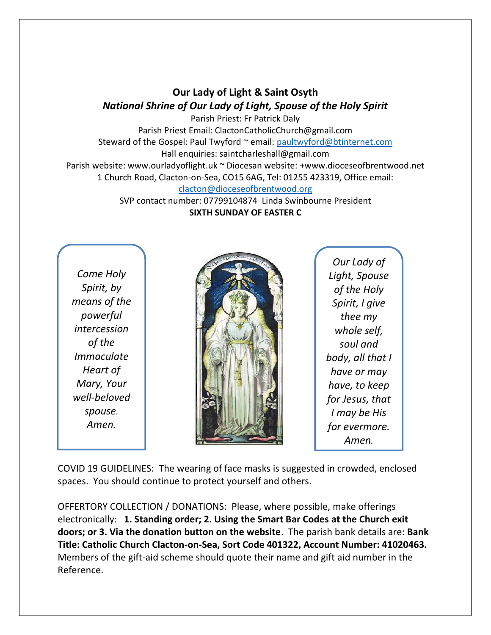## **Our Lady of Light & Saint Osyth** *National Shrine of Our Lady of Light, Spouse of the Holy Spirit*

Parish Priest: Fr Patrick Daly Parish Priest Email: ClactonCatholicChurch@gmail.com Steward of the Gospel: Paul Twyford ~ email: [paultwyford@btinternet.com](mailto:paultwyford@btinternet.com) Hall enquiries: saintcharleshall@gmail.com Parish website: www.ourladyoflight.uk ~ Diocesan website: +www.dioceseofbrentwood.net 1 Church Road, Clacton-on-Sea, CO15 6AG, Tel: 01255 423319, Office email: [clacton@dioceseofbrentwood.org](mailto:clacton@dioceseofbrentwood.org)

SVP contact number: 07799104874 Linda Swinbourne President **SIXTH SUNDAY OF EASTER C**

*Come Holy Spirit, by means of the powerful intercession of the Immaculate Heart of Mary, Your well-beloved spouse. Amen.*



*Our Lady of Light, Spouse of the Holy Spirit, I give thee my whole self, soul and body, all that I have or may have, to keep for Jesus, that I may be His for evermore. Amen.*

COVID 19 GUIDELINES: The wearing of face masks is suggested in crowded, enclosed spaces. You should continue to protect yourself and others.

OFFERTORY COLLECTION / DONATIONS: Please, where possible, make offerings electronically: **1. Standing order; 2. Using the Smart Bar Codes at the Church exit doors; or 3. Via the donation button on the website**. The parish bank details are: **Bank Title: Catholic Church Clacton-on-Sea, Sort Code 401322, Account Number: 41020463.** Members of the gift-aid scheme should quote their name and gift aid number in the Reference.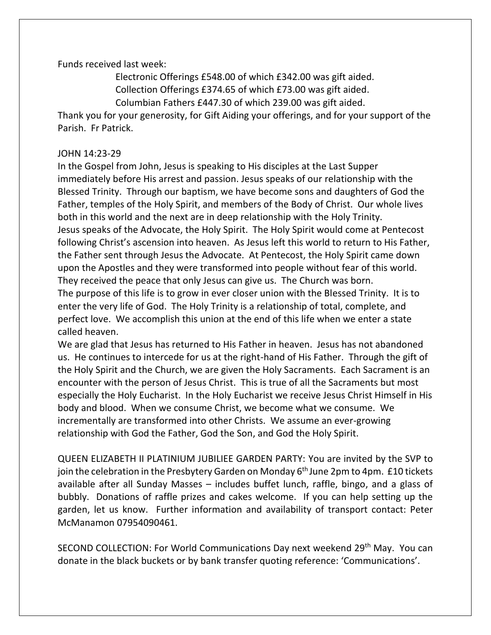Funds received last week:

Electronic Offerings £548.00 of which £342.00 was gift aided. Collection Offerings £374.65 of which £73.00 was gift aided. Columbian Fathers £447.30 of which 239.00 was gift aided.

Thank you for your generosity, for Gift Aiding your offerings, and for your support of the

Parish. Fr Patrick.

## JOHN 14:23-29

In the Gospel from John, Jesus is speaking to His disciples at the Last Supper immediately before His arrest and passion. Jesus speaks of our relationship with the Blessed Trinity. Through our baptism, we have become sons and daughters of God the Father, temples of the Holy Spirit, and members of the Body of Christ. Our whole lives both in this world and the next are in deep relationship with the Holy Trinity. Jesus speaks of the Advocate, the Holy Spirit. The Holy Spirit would come at Pentecost following Christ's ascension into heaven. As Jesus left this world to return to His Father, the Father sent through Jesus the Advocate. At Pentecost, the Holy Spirit came down upon the Apostles and they were transformed into people without fear of this world. They received the peace that only Jesus can give us. The Church was born.

The purpose of this life is to grow in ever closer union with the Blessed Trinity. It is to enter the very life of God. The Holy Trinity is a relationship of total, complete, and perfect love. We accomplish this union at the end of this life when we enter a state called heaven.

We are glad that Jesus has returned to His Father in heaven. Jesus has not abandoned us. He continues to intercede for us at the right-hand of His Father. Through the gift of the Holy Spirit and the Church, we are given the Holy Sacraments. Each Sacrament is an encounter with the person of Jesus Christ. This is true of all the Sacraments but most especially the Holy Eucharist. In the Holy Eucharist we receive Jesus Christ Himself in His body and blood. When we consume Christ, we become what we consume. We incrementally are transformed into other Christs. We assume an ever-growing relationship with God the Father, God the Son, and God the Holy Spirit.

QUEEN ELIZABETH II PLATINIUM JUBILIEE GARDEN PARTY: You are invited by the SVP to join the celebration in the Presbytery Garden on Monday 6<sup>th</sup> June 2pm to 4pm. £10 tickets available after all Sunday Masses – includes buffet lunch, raffle, bingo, and a glass of bubbly. Donations of raffle prizes and cakes welcome. If you can help setting up the garden, let us know. Further information and availability of transport contact: Peter McManamon 07954090461.

SECOND COLLECTION: For World Communications Day next weekend 29<sup>th</sup> May. You can donate in the black buckets or by bank transfer quoting reference: 'Communications'.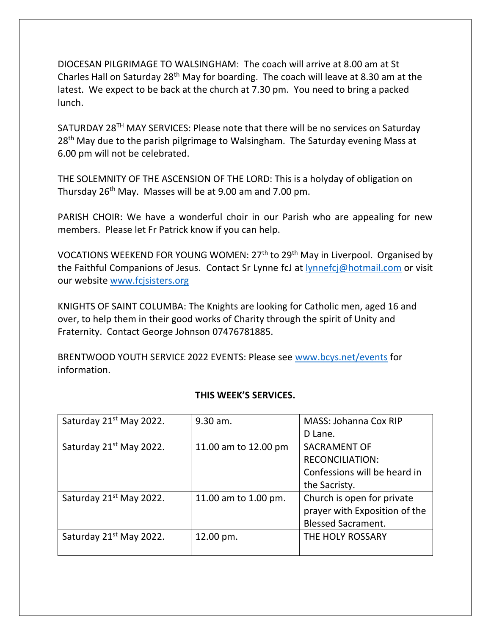DIOCESAN PILGRIMAGE TO WALSINGHAM: The coach will arrive at 8.00 am at St Charles Hall on Saturday 28th May for boarding. The coach will leave at 8.30 am at the latest. We expect to be back at the church at 7.30 pm. You need to bring a packed lunch.

SATURDAY 28TH MAY SERVICES: Please note that there will be no services on Saturday 28<sup>th</sup> May due to the parish pilgrimage to Walsingham. The Saturday evening Mass at 6.00 pm will not be celebrated.

THE SOLEMNITY OF THE ASCENSION OF THE LORD: This is a holyday of obligation on Thursday 26th May. Masses will be at 9.00 am and 7.00 pm.

PARISH CHOIR: We have a wonderful choir in our Parish who are appealing for new members. Please let Fr Patrick know if you can help.

VOCATIONS WEEKEND FOR YOUNG WOMEN: 27th to 29th May in Liverpool. Organised by the Faithful Companions of Jesus. Contact Sr Lynne fcJ at [lynnefcj@hotmail.com](mailto:lynnefcj@hotmail.com) or visit our website [www.fcjsisters.org](https://linkprotect.cudasvc.com/url?a=http%3a%2f%2fwww.fcjsisters.org%2f&c=E,1,JxFLiHK5p_7gr8mFxFuYtOr1riWi9RniGjCAXoNGtYgM1m6LBueqDbd8lqoWl5cOX4I7XM4NoPTXj12Jhzy-ZJuULoxzBaxDAub2g89TMF3F&typo=1)

KNIGHTS OF SAINT COLUMBA: The Knights are looking for Catholic men, aged 16 and over, to help them in their good works of Charity through the spirit of Unity and Fraternity. Contact George Johnson 07476781885.

BRENTWOOD YOUTH SERVICE 2022 EVENTS: Please see [www.bcys.net/events](http://www.bcys.net/events) for information.

| Saturday 21 <sup>st</sup> May 2022. | 9.30 am.             | <b>MASS: Johanna Cox RIP</b>  |
|-------------------------------------|----------------------|-------------------------------|
|                                     |                      | D Lane.                       |
| Saturday 21 <sup>st</sup> May 2022. | 11.00 am to 12.00 pm | <b>SACRAMENT OF</b>           |
|                                     |                      | <b>RECONCILIATION:</b>        |
|                                     |                      | Confessions will be heard in  |
|                                     |                      | the Sacristy.                 |
| Saturday 21 <sup>st</sup> May 2022. | 11.00 am to 1.00 pm. | Church is open for private    |
|                                     |                      | prayer with Exposition of the |
|                                     |                      | <b>Blessed Sacrament.</b>     |
| Saturday 21 <sup>st</sup> May 2022. | 12.00 pm.            | THE HOLY ROSSARY              |
|                                     |                      |                               |

## **THIS WEEK'S SERVICES.**